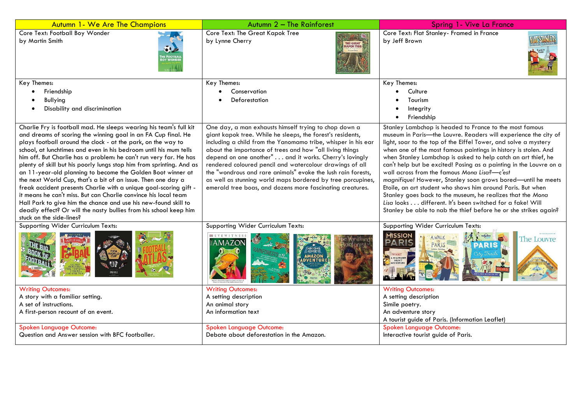| <b>Autumn 1- We Are The Champions</b>                                                                                                                                                                                                                                                                                                                                                                                                                                                                                                                                                                                                                                                                                                                                                                                                                            | Autumn 2 - The Rainforest                                                                                                                                                                                                                                                                                                                                                                                                                                                                                                                                          | Spring 1- Vive La France                                                                                                                                                                                                                                                                                                                                                                                                                                                                                                                                                                                                                                                                                                                                                              |
|------------------------------------------------------------------------------------------------------------------------------------------------------------------------------------------------------------------------------------------------------------------------------------------------------------------------------------------------------------------------------------------------------------------------------------------------------------------------------------------------------------------------------------------------------------------------------------------------------------------------------------------------------------------------------------------------------------------------------------------------------------------------------------------------------------------------------------------------------------------|--------------------------------------------------------------------------------------------------------------------------------------------------------------------------------------------------------------------------------------------------------------------------------------------------------------------------------------------------------------------------------------------------------------------------------------------------------------------------------------------------------------------------------------------------------------------|---------------------------------------------------------------------------------------------------------------------------------------------------------------------------------------------------------------------------------------------------------------------------------------------------------------------------------------------------------------------------------------------------------------------------------------------------------------------------------------------------------------------------------------------------------------------------------------------------------------------------------------------------------------------------------------------------------------------------------------------------------------------------------------|
| Core Text: Football Boy Wonder<br>by Martin Smith                                                                                                                                                                                                                                                                                                                                                                                                                                                                                                                                                                                                                                                                                                                                                                                                                | Core Text: The Great Kapok Tree<br>by Lynne Cherry<br>THE GREAT<br>(APOK TREE                                                                                                                                                                                                                                                                                                                                                                                                                                                                                      | Core Text: Flat Stanley- Framed in France<br>by Jeff Brown                                                                                                                                                                                                                                                                                                                                                                                                                                                                                                                                                                                                                                                                                                                            |
| Key Themes:                                                                                                                                                                                                                                                                                                                                                                                                                                                                                                                                                                                                                                                                                                                                                                                                                                                      | Key Themes:                                                                                                                                                                                                                                                                                                                                                                                                                                                                                                                                                        | Key Themes:                                                                                                                                                                                                                                                                                                                                                                                                                                                                                                                                                                                                                                                                                                                                                                           |
| Friendship                                                                                                                                                                                                                                                                                                                                                                                                                                                                                                                                                                                                                                                                                                                                                                                                                                                       | Conservation                                                                                                                                                                                                                                                                                                                                                                                                                                                                                                                                                       | Culture                                                                                                                                                                                                                                                                                                                                                                                                                                                                                                                                                                                                                                                                                                                                                                               |
| Bullying                                                                                                                                                                                                                                                                                                                                                                                                                                                                                                                                                                                                                                                                                                                                                                                                                                                         | Deforestation                                                                                                                                                                                                                                                                                                                                                                                                                                                                                                                                                      | Tourism                                                                                                                                                                                                                                                                                                                                                                                                                                                                                                                                                                                                                                                                                                                                                                               |
| Disability and discrimination                                                                                                                                                                                                                                                                                                                                                                                                                                                                                                                                                                                                                                                                                                                                                                                                                                    |                                                                                                                                                                                                                                                                                                                                                                                                                                                                                                                                                                    | Integrity<br>Friendship                                                                                                                                                                                                                                                                                                                                                                                                                                                                                                                                                                                                                                                                                                                                                               |
| Charlie Fry is football mad. He sleeps wearing his team's full kit<br>and dreams of scoring the winning goal in an FA Cup final. He<br>plays football around the clock - at the park, on the way to<br>school, at lunchtimes and even in his bedroom until his mum tells<br>him off. But Charlie has a problem: he can't run very far. He has<br>plenty of skill but his poorly lungs stop him from sprinting. And as<br>an 11-year-old planning to become the Golden Boot winner at<br>the next World Cup, that's a bit of an issue. Then one day a<br>freak accident presents Charlie with a unique goal-scoring gift -<br>it means he can't miss. But can Charlie convince his local team<br>Hall Park to give him the chance and use his new-found skill to<br>deadly effect? Or will the nasty bullies from his school keep him<br>stuck on the side-lines? | One day, a man exhausts himself trying to chop down a<br>giant kapok tree. While he sleeps, the forest's residents,<br>including a child from the Yanomamo tribe, whisper in his ear<br>about the importance of trees and how "all living things<br>depend on one another" and it works. Cherry's lovingly<br>rendered coloured pencil and watercolour drawings of all<br>the "wondrous and rare animals" evoke the lush rain forests,<br>as well as stunning world maps bordered by tree porcupines,<br>emerald tree boas, and dozens more fascinating creatures. | Stanley Lambchop is headed to France to the most famous<br>museum in Paris-the Louvre. Readers will experience the city of<br>light, soar to the top of the Eiffel Tower, and solve a mystery<br>when one of the most famous paintings in history is stolen. And<br>when Stanley Lambchop is asked to help catch an art thief, he<br>can't help but be excited! Posing as a painting in the Louvre on a<br>wall across from the famous Mona Lisa?—c'est<br>magnifique! However, Stanley soon grows bored-until he meets<br>Etoile, an art student who shows him around Paris. But when<br>Stanley goes back to the museum, he realizes that the Mona<br>Lisa looks different. It's been switched for a fake! Will<br>Stanley be able to nab the thief before he or she strikes again? |
| Supporting Wider Curriculum Texts:                                                                                                                                                                                                                                                                                                                                                                                                                                                                                                                                                                                                                                                                                                                                                                                                                               | Supporting Wider Curriculum Texts:                                                                                                                                                                                                                                                                                                                                                                                                                                                                                                                                 | Supporting Wider Curriculum Texts:<br>MISSION<br><b>AWALK</b><br>The Louvre<br>PARIS<br><b>PARIS</b>                                                                                                                                                                                                                                                                                                                                                                                                                                                                                                                                                                                                                                                                                  |
| <b>Writing Outcomes:</b>                                                                                                                                                                                                                                                                                                                                                                                                                                                                                                                                                                                                                                                                                                                                                                                                                                         | <b>Writing Outcomes:</b>                                                                                                                                                                                                                                                                                                                                                                                                                                                                                                                                           | <b>Writing Outcomes:</b>                                                                                                                                                                                                                                                                                                                                                                                                                                                                                                                                                                                                                                                                                                                                                              |
| A story with a familiar setting.                                                                                                                                                                                                                                                                                                                                                                                                                                                                                                                                                                                                                                                                                                                                                                                                                                 | A setting description                                                                                                                                                                                                                                                                                                                                                                                                                                                                                                                                              | A setting description                                                                                                                                                                                                                                                                                                                                                                                                                                                                                                                                                                                                                                                                                                                                                                 |
| A set of instructions.<br>A first-person recount of an event.                                                                                                                                                                                                                                                                                                                                                                                                                                                                                                                                                                                                                                                                                                                                                                                                    | An animal story<br>An information text                                                                                                                                                                                                                                                                                                                                                                                                                                                                                                                             | Simile poetry.<br>An adventure story                                                                                                                                                                                                                                                                                                                                                                                                                                                                                                                                                                                                                                                                                                                                                  |
|                                                                                                                                                                                                                                                                                                                                                                                                                                                                                                                                                                                                                                                                                                                                                                                                                                                                  |                                                                                                                                                                                                                                                                                                                                                                                                                                                                                                                                                                    | A tourist guide of Paris. (Information Leaflet)                                                                                                                                                                                                                                                                                                                                                                                                                                                                                                                                                                                                                                                                                                                                       |
| Spoken Language Outcome:                                                                                                                                                                                                                                                                                                                                                                                                                                                                                                                                                                                                                                                                                                                                                                                                                                         | <b>Spoken Language Outcome:</b>                                                                                                                                                                                                                                                                                                                                                                                                                                                                                                                                    | Spoken Language Outcome:                                                                                                                                                                                                                                                                                                                                                                                                                                                                                                                                                                                                                                                                                                                                                              |
| Question and Answer session with BFC footballer.                                                                                                                                                                                                                                                                                                                                                                                                                                                                                                                                                                                                                                                                                                                                                                                                                 | Debate about deforestation in the Amazon.                                                                                                                                                                                                                                                                                                                                                                                                                                                                                                                          | Interactive tourist guide of Paris.                                                                                                                                                                                                                                                                                                                                                                                                                                                                                                                                                                                                                                                                                                                                                   |